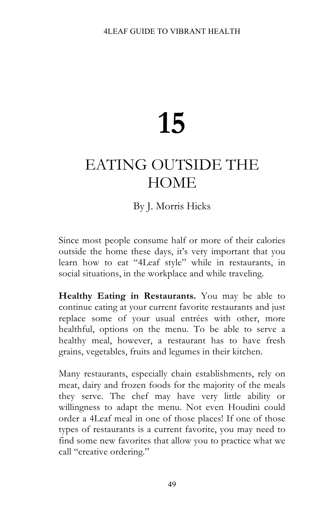# **15**

# EATING OUTSIDE THE **HOME**

# By J. Morris Hicks

Since most people consume half or more of their calories outside the home these days, it's very important that you learn how to eat "4Leaf style" while in restaurants, in social situations, in the workplace and while traveling.

**Healthy Eating in Restaurants.** You may be able to continue eating at your current favorite restaurants and just replace some of your usual entrées with other, more healthful, options on the menu. To be able to serve a healthy meal, however, a restaurant has to have fresh grains, vegetables, fruits and legumes in their kitchen.

Many restaurants, especially chain establishments, rely on meat, dairy and frozen foods for the majority of the meals they serve. The chef may have very little ability or willingness to adapt the menu. Not even Houdini could order a 4Leaf meal in one of those places! If one of those types of restaurants is a current favorite, you may need to find some new favorites that allow you to practice what we call "creative ordering."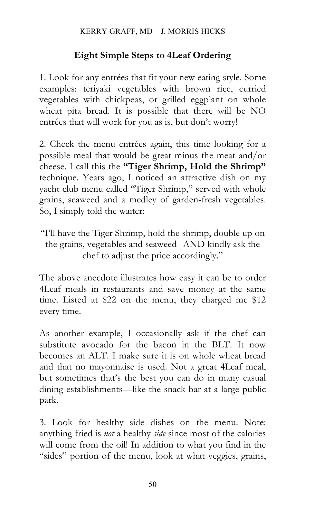# **Eight Simple Steps to 4Leaf Ordering**

1. Look for any entrées that fit your new eating style. Some examples: teriyaki vegetables with brown rice, curried vegetables with chickpeas, or grilled eggplant on whole wheat pita bread. It is possible that there will be NO entrées that will work for you as is, but don't worry!

2. Check the menu entrées again, this time looking for a possible meal that would be great minus the meat and/or cheese. I call this the **"Tiger Shrimp, Hold the Shrimp"** technique. Years ago, I noticed an attractive dish on my yacht club menu called "Tiger Shrimp," served with whole grains, seaweed and a medley of garden-fresh vegetables. So, I simply told the waiter:

"I'll have the Tiger Shrimp, hold the shrimp, double up on the grains, vegetables and seaweed--AND kindly ask the chef to adjust the price accordingly."

The above anecdote illustrates how easy it can be to order 4Leaf meals in restaurants and save money at the same time. Listed at \$22 on the menu, they charged me \$12 every time.

As another example, I occasionally ask if the chef can substitute avocado for the bacon in the BLT. It now becomes an ALT. I make sure it is on whole wheat bread and that no mayonnaise is used. Not a great 4Leaf meal, but sometimes that's the best you can do in many casual dining establishments—like the snack bar at a large public park.

3. Look for healthy side dishes on the menu. Note: anything fried is *not* a healthy *side* since most of the calories will come from the oil! In addition to what you find in the "sides" portion of the menu, look at what veggies, grains,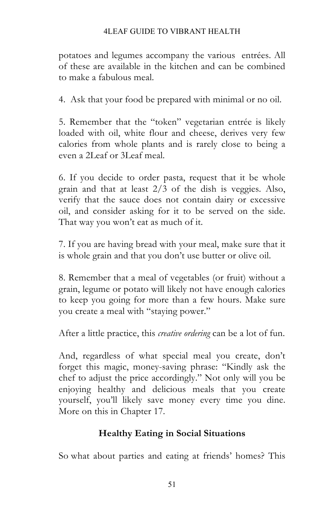#### 4LEAF GUIDE TO VIBRANT HEALTH

potatoes and legumes accompany the various entrées. All of these are available in the kitchen and can be combined to make a fabulous meal.

4. Ask that your food be prepared with minimal or no oil.

5. Remember that the "token" vegetarian entrée is likely loaded with oil, white flour and cheese, derives very few calories from whole plants and is rarely close to being a even a 2Leaf or 3Leaf meal.

6. If you decide to order pasta, request that it be whole grain and that at least 2/3 of the dish is veggies. Also, verify that the sauce does not contain dairy or excessive oil, and consider asking for it to be served on the side. That way you won't eat as much of it.

7. If you are having bread with your meal, make sure that it is whole grain and that you don't use butter or olive oil.

8. Remember that a meal of vegetables (or fruit) without a grain, legume or potato will likely not have enough calories to keep you going for more than a few hours. Make sure you create a meal with "staying power."

After a little practice, this *creative ordering* can be a lot of fun.

And, regardless of what special meal you create, don't forget this magic, money-saving phrase: "Kindly ask the chef to adjust the price accordingly." Not only will you be enjoying healthy and delicious meals that you create yourself, you'll likely save money every time you dine. More on this in Chapter 17.

# **Healthy Eating in Social Situations**

So what about parties and eating at friends' homes? This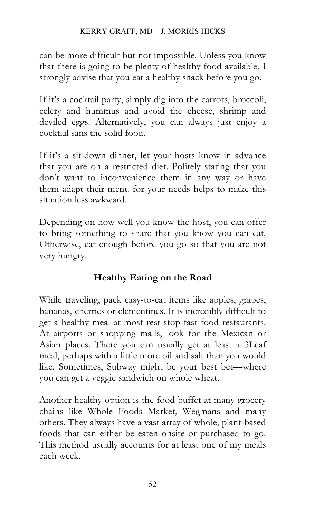#### KERRY GRAFF, MD – J. MORRIS HICKS

can be more difficult but not impossible. Unless you know that there is going to be plenty of healthy food available, I strongly advise that you eat a healthy snack before you go.

If it's a cocktail party, simply dig into the carrots, broccoli, celery and hummus and avoid the cheese, shrimp and deviled eggs. Alternatively, you can always just enjoy a cocktail sans the solid food.

If it's a sit-down dinner, let your hosts know in advance that you are on a restricted diet. Politely stating that you don't want to inconvenience them in any way or have them adapt their menu for your needs helps to make this situation less awkward.

Depending on how well you know the host, you can offer to bring something to share that you know you can eat. Otherwise, eat enough before you go so that you are not very hungry.

# **Healthy Eating on the Road**

While traveling, pack easy-to-eat items like apples, grapes, bananas, cherries or clementines. It is incredibly difficult to get a healthy meal at most rest stop fast food restaurants. At airports or shopping malls, look for the Mexican or Asian places. There you can usually get at least a 3Leaf meal, perhaps with a little more oil and salt than you would like. Sometimes, Subway might be your best bet—where you can get a veggie sandwich on whole wheat.

Another healthy option is the food buffet at many grocery chains like Whole Foods Market, Wegmans and many others. They always have a vast array of whole, plant-based foods that can either be eaten onsite or purchased to go. This method usually accounts for at least one of my meals each week.